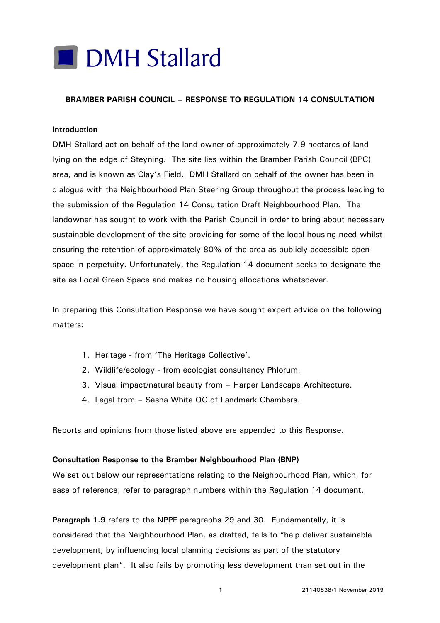# **DMH Stallard**

## **BRAMBER PARISH COUNCIL – RESPONSE TO REGULATION 14 CONSULTATION**

#### **Introduction**

DMH Stallard act on behalf of the land owner of approximately 7.9 hectares of land lying on the edge of Steyning. The site lies within the Bramber Parish Council (BPC) area, and is known as Clay's Field. DMH Stallard on behalf of the owner has been in dialogue with the Neighbourhood Plan Steering Group throughout the process leading to the submission of the Regulation 14 Consultation Draft Neighbourhood Plan. The landowner has sought to work with the Parish Council in order to bring about necessary sustainable development of the site providing for some of the local housing need whilst ensuring the retention of approximately 80% of the area as publicly accessible open space in perpetuity. Unfortunately, the Regulation 14 document seeks to designate the site as Local Green Space and makes no housing allocations whatsoever.

In preparing this Consultation Response we have sought expert advice on the following matters:

- 1. Heritage from 'The Heritage Collective'.
- 2. Wildlife/ecology from ecologist consultancy Phlorum.
- 3. Visual impact/natural beauty from Harper Landscape Architecture.
- 4. Legal from Sasha White QC of Landmark Chambers.

Reports and opinions from those listed above are appended to this Response.

#### **Consultation Response to the Bramber Neighbourhood Plan (BNP)**

We set out below our representations relating to the Neighbourhood Plan, which, for ease of reference, refer to paragraph numbers within the Regulation 14 document.

**Paragraph 1.9** refers to the NPPF paragraphs 29 and 30. Fundamentally, it is considered that the Neighbourhood Plan, as drafted, fails to "help deliver sustainable development, by influencing local planning decisions as part of the statutory development plan". It also fails by promoting less development than set out in the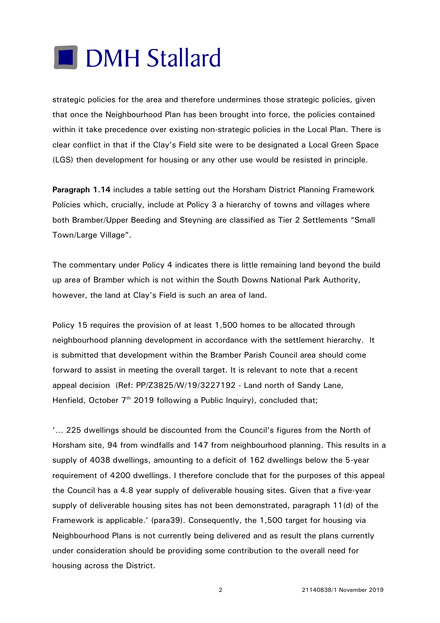# **DMH Stallard**

strategic policies for the area and therefore undermines those strategic policies, given that once the Neighbourhood Plan has been brought into force, the policies contained within it take precedence over existing non-strategic policies in the Local Plan. There is clear conflict in that if the Clay's Field site were to be designated a Local Green Space (LGS) then development for housing or any other use would be resisted in principle.

**Paragraph 1.14** includes a table setting out the Horsham District Planning Framework Policies which, crucially, include at Policy 3 a hierarchy of towns and villages where both Bramber/Upper Beeding and Steyning are classified as Tier 2 Settlements "Small Town/Large Village".

The commentary under Policy 4 indicates there is little remaining land beyond the build up area of Bramber which is not within the South Downs National Park Authority, however, the land at Clay's Field is such an area of land.

Policy 15 requires the provision of at least 1,500 homes to be allocated through neighbourhood planning development in accordance with the settlement hierarchy. It is submitted that development within the Bramber Parish Council area should come forward to assist in meeting the overall target. It is relevant to note that a recent appeal decision (Ref: PP/Z3825/W/19/3227192 - Land north of Sandy Lane, Henfield, October 7<sup>th</sup> 2019 following a Public Inquiry), concluded that;

'… 225 dwellings should be discounted from the Council's figures from the North of Horsham site, 94 from windfalls and 147 from neighbourhood planning. This results in a supply of 4038 dwellings, amounting to a deficit of 162 dwellings below the 5-year requirement of 4200 dwellings. I therefore conclude that for the purposes of this appeal the Council has a 4.8 year supply of deliverable housing sites. Given that a five-year supply of deliverable housing sites has not been demonstrated, paragraph 11(d) of the Framework is applicable.' (para39). Consequently, the 1,500 target for housing via Neighbourhood Plans is not currently being delivered and as result the plans currently under consideration should be providing some contribution to the overall need for housing across the District.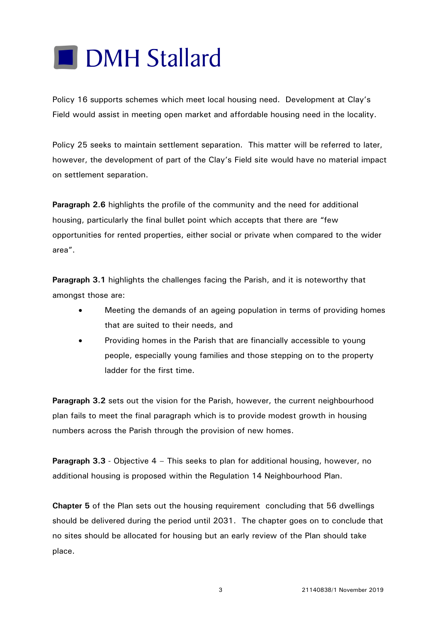

Policy 16 supports schemes which meet local housing need. Development at Clay's Field would assist in meeting open market and affordable housing need in the locality.

Policy 25 seeks to maintain settlement separation. This matter will be referred to later, however, the development of part of the Clay's Field site would have no material impact on settlement separation.

**Paragraph 2.6** highlights the profile of the community and the need for additional housing, particularly the final bullet point which accepts that there are "few opportunities for rented properties, either social or private when compared to the wider area".

**Paragraph 3.1** highlights the challenges facing the Parish, and it is noteworthy that amongst those are:

- Meeting the demands of an ageing population in terms of providing homes that are suited to their needs, and
- Providing homes in the Parish that are financially accessible to young people, especially young families and those stepping on to the property ladder for the first time.

**Paragraph 3.2** sets out the vision for the Parish, however, the current neighbourhood plan fails to meet the final paragraph which is to provide modest growth in housing numbers across the Parish through the provision of new homes.

**Paragraph 3.3** - Objective 4 – This seeks to plan for additional housing, however, no additional housing is proposed within the Regulation 14 Neighbourhood Plan.

**Chapter 5** of the Plan sets out the housing requirement concluding that 56 dwellings should be delivered during the period until 2031. The chapter goes on to conclude that no sites should be allocated for housing but an early review of the Plan should take place.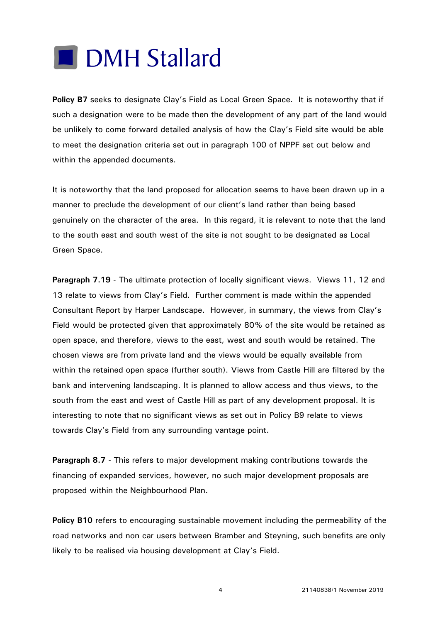

**Policy B7** seeks to designate Clay's Field as Local Green Space. It is noteworthy that if such a designation were to be made then the development of any part of the land would be unlikely to come forward detailed analysis of how the Clay's Field site would be able to meet the designation criteria set out in paragraph 100 of NPPF set out below and within the appended documents.

It is noteworthy that the land proposed for allocation seems to have been drawn up in a manner to preclude the development of our client's land rather than being based genuinely on the character of the area. In this regard, it is relevant to note that the land to the south east and south west of the site is not sought to be designated as Local Green Space.

**Paragraph 7.19** - The ultimate protection of locally significant views. Views 11, 12 and 13 relate to views from Clay's Field. Further comment is made within the appended Consultant Report by Harper Landscape. However, in summary, the views from Clay's Field would be protected given that approximately 80% of the site would be retained as open space, and therefore, views to the east, west and south would be retained. The chosen views are from private land and the views would be equally available from within the retained open space (further south). Views from Castle Hill are filtered by the bank and intervening landscaping. It is planned to allow access and thus views, to the south from the east and west of Castle Hill as part of any development proposal. It is interesting to note that no significant views as set out in Policy B9 relate to views towards Clay's Field from any surrounding vantage point.

**Paragraph 8.7** - This refers to major development making contributions towards the financing of expanded services, however, no such major development proposals are proposed within the Neighbourhood Plan.

**Policy B10** refers to encouraging sustainable movement including the permeability of the road networks and non car users between Bramber and Steyning, such benefits are only likely to be realised via housing development at Clay's Field.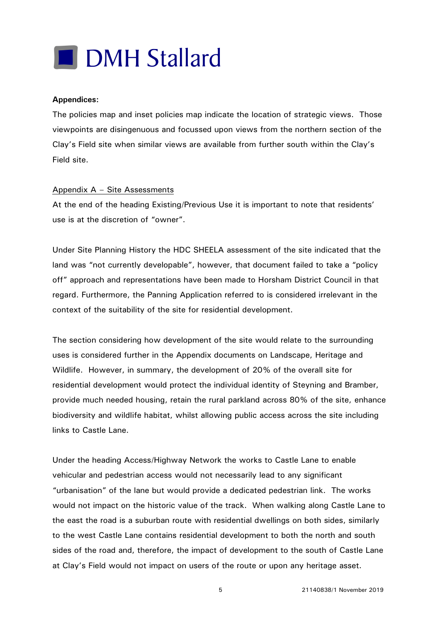

### **Appendices:**

The policies map and inset policies map indicate the location of strategic views. Those viewpoints are disingenuous and focussed upon views from the northern section of the Clay's Field site when similar views are available from further south within the Clay's Field site.

### Appendix A – Site Assessments

At the end of the heading Existing/Previous Use it is important to note that residents' use is at the discretion of "owner".

Under Site Planning History the HDC SHEELA assessment of the site indicated that the land was "not currently developable", however, that document failed to take a "policy off" approach and representations have been made to Horsham District Council in that regard. Furthermore, the Panning Application referred to is considered irrelevant in the context of the suitability of the site for residential development.

The section considering how development of the site would relate to the surrounding uses is considered further in the Appendix documents on Landscape, Heritage and Wildlife. However, in summary, the development of 20% of the overall site for residential development would protect the individual identity of Steyning and Bramber, provide much needed housing, retain the rural parkland across 80% of the site, enhance biodiversity and wildlife habitat, whilst allowing public access across the site including links to Castle Lane.

Under the heading Access/Highway Network the works to Castle Lane to enable vehicular and pedestrian access would not necessarily lead to any significant "urbanisation" of the lane but would provide a dedicated pedestrian link. The works would not impact on the historic value of the track. When walking along Castle Lane to the east the road is a suburban route with residential dwellings on both sides, similarly to the west Castle Lane contains residential development to both the north and south sides of the road and, therefore, the impact of development to the south of Castle Lane at Clay's Field would not impact on users of the route or upon any heritage asset.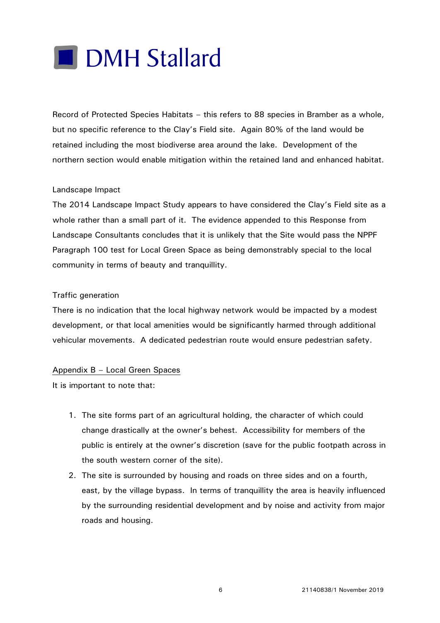

Record of Protected Species Habitats – this refers to 88 species in Bramber as a whole, but no specific reference to the Clay's Field site. Again 80% of the land would be retained including the most biodiverse area around the lake. Development of the northern section would enable mitigation within the retained land and enhanced habitat.

### Landscape Impact

The 2014 Landscape Impact Study appears to have considered the Clay's Field site as a whole rather than a small part of it. The evidence appended to this Response from Landscape Consultants concludes that it is unlikely that the Site would pass the NPPF Paragraph 100 test for Local Green Space as being demonstrably special to the local community in terms of beauty and tranquillity.

### Traffic generation

There is no indication that the local highway network would be impacted by a modest development, or that local amenities would be significantly harmed through additional vehicular movements. A dedicated pedestrian route would ensure pedestrian safety.

## Appendix B – Local Green Spaces

It is important to note that:

- 1. The site forms part of an agricultural holding, the character of which could change drastically at the owner's behest. Accessibility for members of the public is entirely at the owner's discretion (save for the public footpath across in the south western corner of the site).
- 2. The site is surrounded by housing and roads on three sides and on a fourth, east, by the village bypass. In terms of tranquillity the area is heavily influenced by the surrounding residential development and by noise and activity from major roads and housing.